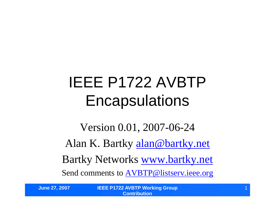# IEEE P1722 AVBTP **Encapsulations**

Version 0.01, 2007-06-24 Alan K. Bartky alan@bartky.net Bartky Networks www.bartky.net Send comments to AVBTP@listserv.ieee.org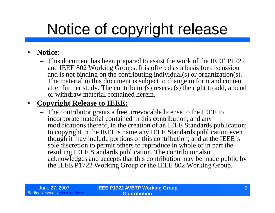# Notice of copyright release

#### • **Notice:**

– This document has been prepared to assist the work of the IEEE P1722 and IEEE 802 Working Groups. It is offered as a basis for discussion and is not binding on the contributing individual(s) or organization(s). The material in this document is subject to change in form and content after further study. The contributor(s) reserve(s) the right to add, amend or withdraw material contained herein.

#### • **Copyright Release to IEEE:**

– The contributor grants a free, irrevocable license to the IEEE to incorporate material contained in this contribution, and any modifications thereof, in the creation of an IEEE Standards publication; to copyright in the IEEE's name any IEEE Standards publication even though it may include portions of this contribution; and at the IEEE's sole discretion to permit others to reproduce in whole or in part the resulting IEEE Standards publication. The contributor also acknowledges and accepts that this contribution may be made public by the IEEE P1722 Working Group or the IEEE 802 Working Group.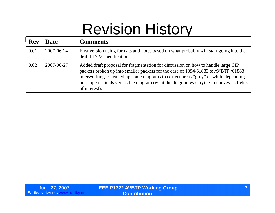#### Revision History

| <b>Rev</b> | <b>Date</b> | <b>Comments</b>                                                                                                                                                                                                                                                                                                                                                      |
|------------|-------------|----------------------------------------------------------------------------------------------------------------------------------------------------------------------------------------------------------------------------------------------------------------------------------------------------------------------------------------------------------------------|
| 0.01       | 2007-06-24  | First version using formats and notes based on what probably will start going into the<br>draft P1722 specifications.                                                                                                                                                                                                                                                |
| 0.02       | 2007-06-27  | Added draft proposal for fragmentation for discussion on how to handle large CIP<br>packets broken up into smaller packets for the case of 1394/61883 to AVBTP/61883<br>interworking. Cleaned up some diagrams to correct areas "grey" or white depending<br>on scope of fields versus the diagram (what the diagram was trying to convey as fields<br>of interest). |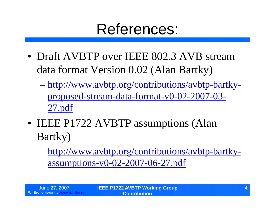#### References:

- Draft AVBTP over IEEE 802.3 AVB stream data format Version 0.02 (Alan Bartky)
	- –http://www.avbtp.org/contributions/avbtp-bartkyproposed-stream-data-format-v0-02-2007-03- 27.pdf
- IEEE P1722 AVBTP assumptions (Alan Bartky)
	- –http://www.avbtp.org/contributions/avbtp-bartkyassumptions-v0-02-2007-06-27.pdf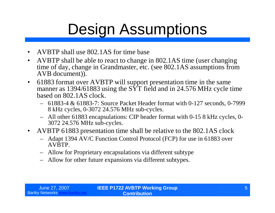# Design Assumptions

- AVBTP shall use 802.1AS for time base
- AVBTP shall be able to react to change in 802.1AS time (user changing time of day, change in Grandmaster, etc. (see 802.1AS assumptions from AVB document)).
- 61883 format over AVBTP will support presentation time in the same manner as 1394/61883 using the  $S\overline{Y}$  field and in 24.576 MHz cycle time based on 802.1AS clock.
	- 61883-4 & 61883-7: Source Packet Header format with 0-127 seconds, 0-7999 8 kHz cycles, 0-3072 24.576 MHz sub-cycles.
	- All other 61883 encapsulations: CIP header format with 0-15 8 kHz cycles, 0- 3072 24.576 MHz sub-cycles.
- AVBTP 61883 presentation time shall be relative to the 802.1AS clock
	- Adapt 1394 AV/C Function Control Protocol (FCP) for use in 61883 over AVBTP.
	- Allow for Proprietary encapsulations via different subtype
	- Allow for other future expansions via different subtypes.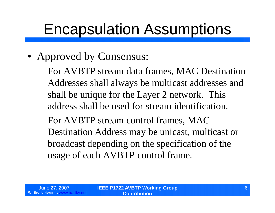- Approved by Consensus:
	- –For AVBTP stream data frames, MAC Destination Addresses shall always be multicast addresses and shall be unique for the Layer 2 network. This address shall be used for stream identification.
	- –For AVBTP stream control frames, MAC Destination Address may be unicast, multicast or broadcast depending on the specification of the usage of each AVBTP control frame.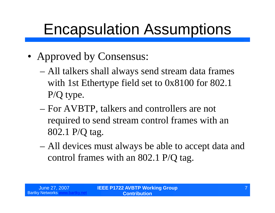- Approved by Consensus:
	- –All talkers shall always send stream data frames with 1st Ethertype field set to 0x8100 for 802.1 P/Q type.
	- –For AVBTP, talkers and controllers are not required to send stream control frames with an 802.1 P/Q tag.
	- –All devices must always be able to accept data and control frames with an 802.1 P/Q tag.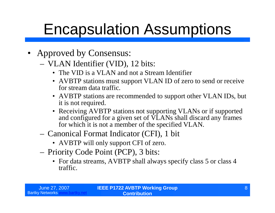- Approved by Consensus:
	- VLAN Identifier (VID), 12 bits:
		- The VID is a VLAN and not a Stream Identifier
		- AVBTP stations must support VLAN ID of zero to send or receive for stream data traffic.
		- AVBTP stations are recommended to support other VLAN IDs, but it is not required.
		- Receiving AVBTP stations not supporting VLANs or if supported and configured for a given set of VLANs shall discard any frames for which it is not a member of the specified VLAN.
	- Canonical Format Indicator (CFI), 1 bit
		- AVBTP will only support CFI of zero.
	- Priority Code Point (PCP), 3 bits:
		- For data streams, AVBTP shall always specify class 5 or class 4 traffic.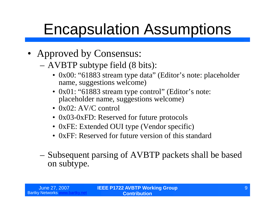- Approved by Consensus:
	- –AVBTP subtype field (8 bits):
		- •0x00: "61883 stream type data"(Editor's note: placeholder name, suggestions welcome)
		- 0x01: "61883 stream type control" (Editor's note: placeholder name, suggestions welcome)
		- $0x02$ :  $AV/C$  control
		- 0x03-0xFD: Reserved for future protocols
		- 0xFE: Extended OUI type (Vendor specific)
		- 0xFF: Reserved for future version of this standard
	- –Subsequent parsing of AVBTP packets shall be based on subtype.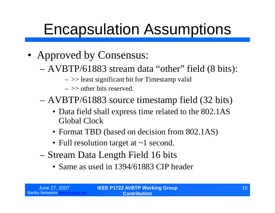- Approved by Consensus:
	- –AVBTP/61883 stream data "other"field (8 bits):
		- $\sim$  >> least significant bit for Timestamp valid
		- $\rightarrow$   $\rightarrow$  other bits reserved.
	- –AVBTP/61883 source timestamp field (32 bits)
		- Data field shall express time related to the 802.1AS Global Clock
		- Format TBD (based on decision from 802.1AS)
		- Full resolution target at  $\sim$  1 second.
	- –Stream Data Length Field 16 bits
		- Same as used in 1394/61883 CIP header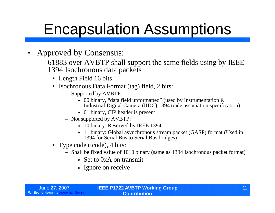- Approved by Consensus:
	- 61883 over AVBTP shall support the same fields using by IEEE 1394 Isochronous data packets
		- Length Field 16 bits
		- Isochronous Data Format (tag) field, 2 bits:
			- Supported by AVBTP:
				- » 00 binary, "data field unformatted"(used by Instrumentation & Industrial Digital Camera (IIDC) 1394 trade association specification)
				- » 01 binary, CIP header is present
			- Not supported by AVBTP:
				- » 10 binary: Reserved by IEEE 1394
				- » 11 binary: Global asynchronous stream packet (GASP) format (Used in 1394 for Serial Bus to Serial Bus bridges)
		- Type code (tcode), 4 bits:
			- Shall be fixed value of 1010 binary (same as 1394 Isochronous packet format)
				- » Set to 0xA on transmit
				- » Ignore on receive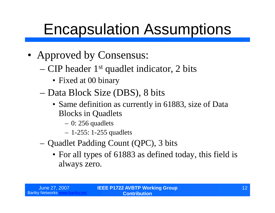- Approved by Consensus:
	- –CIP header 1st quadlet indicator, 2 bits
		- Fixed at 00 binary
	- –Data Block Size (DBS), 8 bits
		- Same definition as currently in 61883, size of Data Blocks in Quadlets
			- $-0$ : 256 quadlets
			- –1-255: 1-255 quadlets
	- –Quadlet Padding Count (QPC), 3 bits
		- For all types of 61883 as defined today, this field is always zero.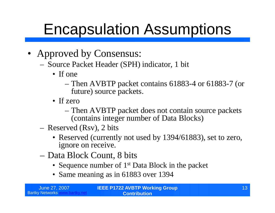- Approved by Consensus:
	- Source Packet Header (SPH) indicator, 1 bit
		- If one
			- –Then AVBTP packet contains 61883-4 or 61883-7 (or future) source packets.
		- If zero
			- –Then AVBTP packet does not contain source packets (contains integer number of Data Blocks)
	- Reserved (Rsv), 2 bits
		- Reserved (currently not used by 1394/61883), set to zero, ignore on receive.
	- –Data Block Count, 8 bits
		- Sequence number of 1<sup>st</sup> Data Block in the packet
		- Same meaning as in 61883 over 1394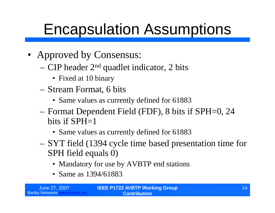- Approved by Consensus:
	- –CIP header 2nd quadlet indicator, 2 bits
		- Fixed at 10 binary
	- –Stream Format, 6 bits
		- Same values as currently defined for 61883
	- –Format Dependent Field (FDF), 8 bits if SPH=0, 24 bits if  $SPH=1$ 
		- Same values as currently defined for 61883
	- –SYT field (1394 cycle time based presentation time for SPH field equals 0)
		- Mandatory for use by AVBTP end stations
		- Same as 1394/61883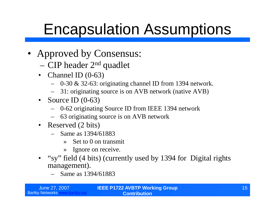- Approved by Consensus:
	- –CIP header 2nd quadlet
	- Channel ID (0-63)
		- 0-30 & 32-63: originating channel ID from 1394 network.
		- 31: originating source is on AVB network (native AVB)
	- Source ID  $(0-63)$ 
		- 0-62 originating Source ID from IEEE 1394 network
		- 63 originating source is on AVB network
	- Reserved (2 bits)
		- Same as 1394/61883
			- » Set to 0 on transmit
			- » Ignore on receive.
	- "sy"field (4 bits) (currently used by 1394 for Digital rights management).
		- Same as 1394/61883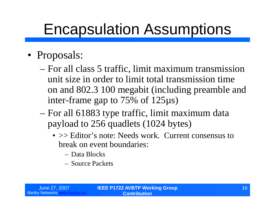- Proposals:
	- –For all class 5 traffic, limit maximum transmission unit size in order to limit total transmission time on and 802.3 100 megabit (including preamble and inter-frame gap to 75% of 125µs)
	- –For all 61883 type traffic, limit maximum data payload to 256 quadlets (1024 bytes)
		- > Editor's note: Needs work. Current consensus to break on event boundaries:
			- –Data Blocks
			- –Source Packets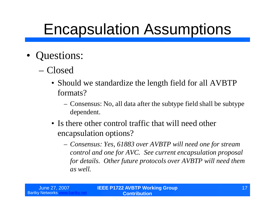- •Questions:
	- –Closed
		- Should we standardize the length field for all AVBTP formats?
			- –Consensus: No, all data after the subtype field shall be subtype dependent.
		- Is there other control traffic that will need other encapsulation options?
			- –*Consensus: Yes, 61883 over AVBTP will need one for stream control and one for AVC. See current encapsulation proposal for details. Other future protocols over AVBTP will need them as well.*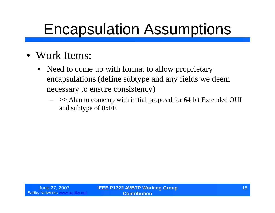- Work Items:
	- Need to come up with format to allow proprietary encapsulations (define subtype and any fields we deem necessary to ensure consistency)
		- $\gg$  Alan to come up with initial proposal for 64 bit Extended OUI and subtype of 0xFE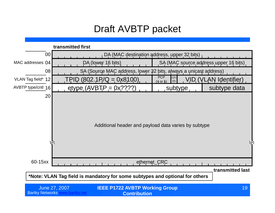#### Draft AVBTP packet

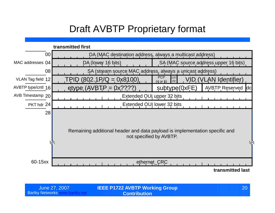#### Draft AVBTP Proprietary format



| June 27, 2007          |  |
|------------------------|--|
| <b>Bartky Networks</b> |  |

**IEEE P1722 AVBTP Working Group** June 27, 2007 20 **Contribution**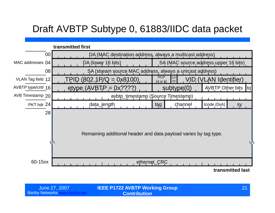#### Draft AVBTP Subtype 0, 61883/IIDC data packet



| June 27, 2007   | <b>IEEE P1722 AVBTP Working Group</b> |  |
|-----------------|---------------------------------------|--|
| <b>Networks</b> | <b>Contribution</b>                   |  |

**Bartky Networks**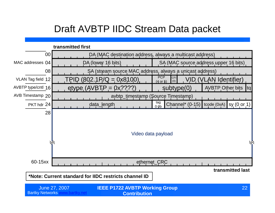#### Draft AVBTP IIDC Stream Data packet

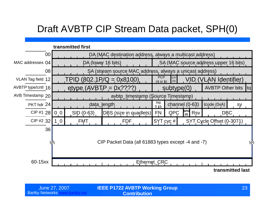#### Draft AVBTP CIP Stream Data packet, SPH(0)



| June 27, 2007          |  |
|------------------------|--|
| <b>Bartky Networks</b> |  |

**IEEE P1722 AVBTP Working Group** June 27, 2007 23 **Contribution**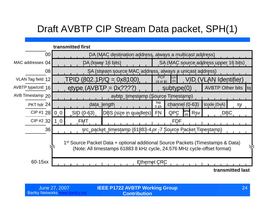#### Draft AVBTP CIP Stream Data packet, SPH(1)

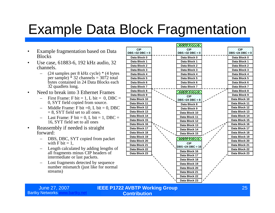#### Example Data Block Fragmentation

- Example fragmentation based on Data **Blocks**
- Use case, 61883-6, 192 kHz audio, 32 channels.
	- (24 samples per 8 kHz cycle) \* (4 bytes per sample)  $\hat{ }$  32 channels = 3072 total bytes contained in 24 Data Blocks each 32 quadlets long.
- Need to break into 3 Ethernet Frames
	- First Frame: F bit = 1, L bit = 0, DBC = 0, SYT field copied from source.
	- Middle Frame: F bit  $=0$ , L bit  $= 0$ , DBC  $= 8$ , SYT field set to all ones.
	- $-$  Last Frame: F bit = 0, L bit = 1, DBC = 16, SYT field set to all ones
- Reassembly if needed is straight forward:
	- DBS, DBC, SYT copied from packet with F bit  $= 1$ .
	- Length calculated by adding lengths of all fragments minus CIP headers of intermediate or last packets.
	- Lost fragments detected by sequence number mismatch (just like for normal streams)



Bartky Networks www.bartky.net

June 27, 2007 **IEEE P1722 AVBTP Working Group Contribution**